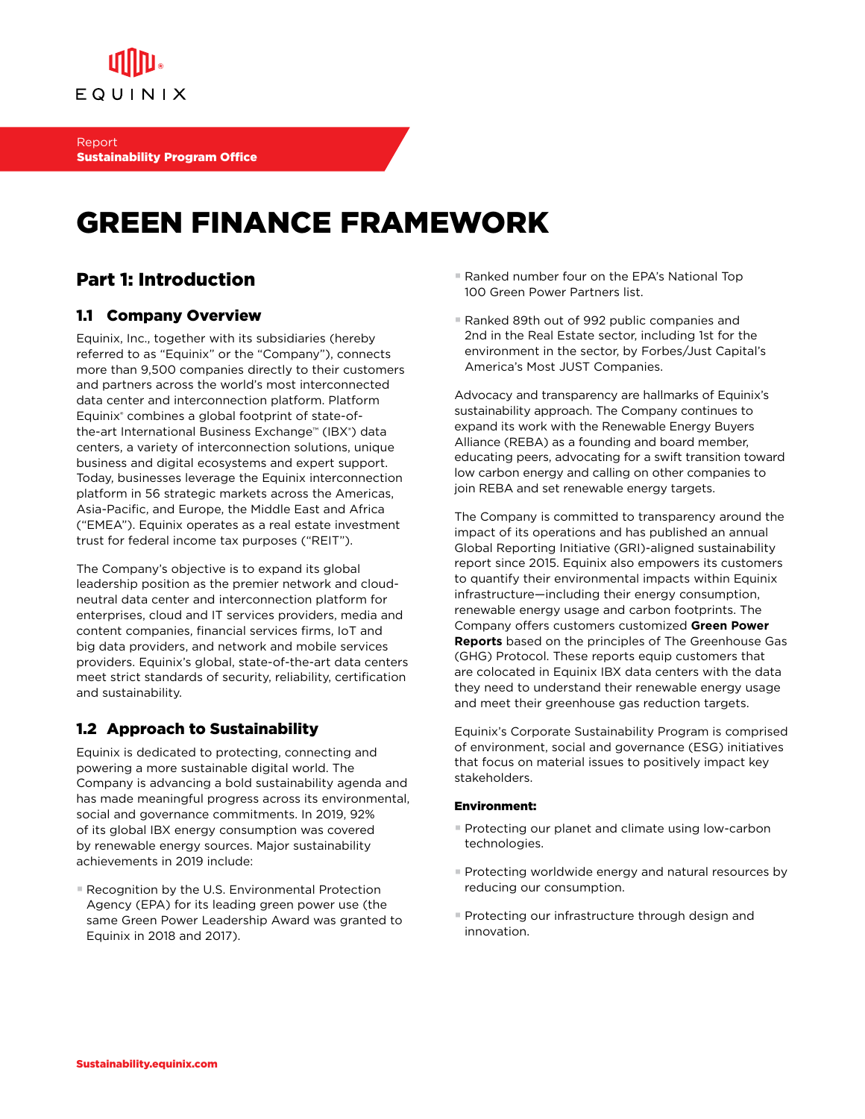

## GREEN FINANCE FRAMEWORK

### Part 1: Introduction

#### 1.1 Company Overview

Equinix, Inc., together with its subsidiaries (hereby referred to as "Equinix" or the "Company"), connects more than 9,500 companies directly to their customers and partners across the world's most interconnected data center and interconnection platform. Platform Equinix® combines a global footprint of state-ofthe-art International Business Exchange™ (IBX®) data centers, a variety of interconnection solutions, unique business and digital ecosystems and expert support. Today, businesses leverage the Equinix interconnection platform in 56 strategic markets across the Americas, Asia-Pacific, and Europe, the Middle East and Africa ("EMEA"). Equinix operates as a real estate investment trust for federal income tax purposes ("REIT").

The Company's objective is to expand its global leadership position as the premier network and cloudneutral data center and interconnection platform for enterprises, cloud and IT services providers, media and content companies, financial services firms, IoT and big data providers, and network and mobile services providers. Equinix's global, state-of-the-art data centers meet strict standards of security, reliability, certification and sustainability.

#### 1.2 Approach to Sustainability

Equinix is dedicated to protecting, connecting and powering a more sustainable digital world. The Company is advancing a bold sustainability agenda and has made meaningful progress across its environmental, social and governance commitments. In 2019, 92% of its global IBX energy consumption was covered by renewable energy sources. Major sustainability achievements in 2019 include:

■ Recognition by the U.S. Environmental Protection Agency (EPA) for its leading green power use (the same Green Power Leadership Award was granted to Equinix in 2018 and 2017).

- Ranked number four on the EPA's National Top 100 Green Power Partners list.
- Ranked 89th out of 992 public companies and 2nd in the Real Estate sector, including 1st for the environment in the sector, by Forbes/Just Capital's America's Most JUST Companies.

Advocacy and transparency are hallmarks of Equinix's sustainability approach. The Company continues to expand its work with the Renewable Energy Buyers Alliance (REBA) as a founding and board member, educating peers, advocating for a swift transition toward low carbon energy and calling on other companies to join REBA and set renewable energy targets.

The Company is committed to transparency around the impact of its operations and has published an annual Global Reporting Initiative (GRI)-aligned sustainability report since 2015. Equinix also empowers its customers to quantify their environmental impacts within Equinix infrastructure—including their energy consumption, renewable energy usage and carbon footprints. The Company offers customers customized **Green Power Reports** based on the principles of The Greenhouse Gas (GHG) Protocol. These reports equip customers that are colocated in Equinix IBX data centers with the data they need to understand their renewable energy usage and meet their greenhouse gas reduction targets.

Equinix's Corporate Sustainability Program is comprised of environment, social and governance (ESG) initiatives that focus on material issues to positively impact key stakeholders.

#### Environment:

- Protecting our planet and climate using low-carbon technologies.
- § Protecting worldwide energy and natural resources by reducing our consumption.
- **Protecting our infrastructure through design and** innovation.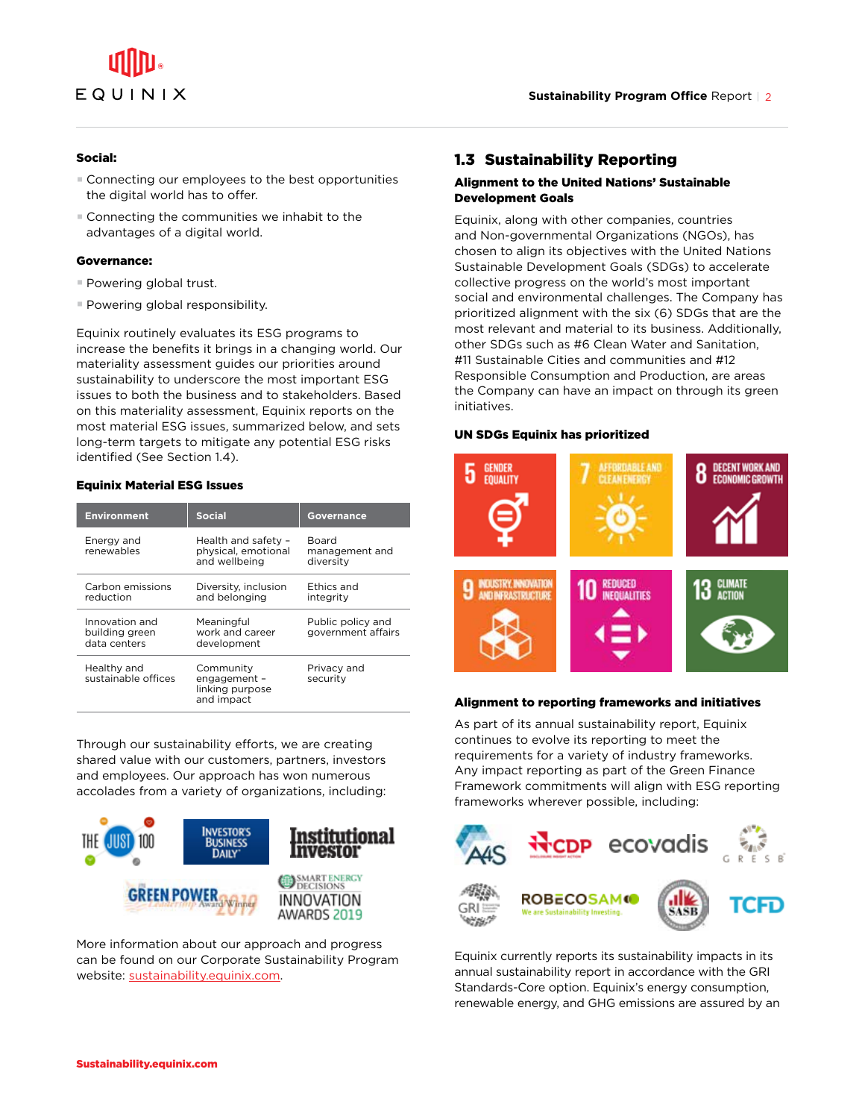

#### Social:

- Connecting our employees to the best opportunities the digital world has to offer.
- Connecting the communities we inhabit to the advantages of a digital world.

#### Governance:

- Powering global trust.
- Powering global responsibility.

Equinix routinely evaluates its ESG programs to increase the benefits it brings in a changing world. Our materiality assessment guides our priorities around sustainability to underscore the most important ESG issues to both the business and to stakeholders. Based on this materiality assessment, Equinix reports on the most material ESG issues, summarized below, and sets long-term targets to mitigate any potential ESG risks identified (See Section 1.4).

#### Equinix Material ESG Issues

| <b>Environment</b>                               | <b>Social</b>                                               | <b>Governance</b>                           |
|--------------------------------------------------|-------------------------------------------------------------|---------------------------------------------|
| Energy and<br>renewables                         | Health and safety -<br>physical, emotional<br>and wellbeing | <b>Board</b><br>management and<br>diversity |
| Carbon emissions<br>reduction                    | Diversity, inclusion<br>and belonging                       | <b>Ethics and</b><br>intearity              |
| Innovation and<br>building green<br>data centers | Meaningful<br>work and career<br>development                | Public policy and<br>government affairs     |
| Healthy and<br>sustainable offices               | Community<br>engagement -<br>linking purpose<br>and impact  | Privacy and<br>security                     |

Through our sustainability efforts, we are creating shared value with our customers, partners, investors and employees. Our approach has won numerous accolades from a variety of organizations, including:



More information about our approach and progress can be found on our Corporate Sustainability Program website: sustainability.equinix.com.

#### 1.3 Sustainability Reporting

#### Alignment to the United Nations' Sustainable Development Goals

Equinix, along with other companies, countries and Non-governmental Organizations (NGOs), has chosen to align its objectives with the United Nations Sustainable Development Goals (SDGs) to accelerate collective progress on the world's most important social and environmental challenges. The Company has prioritized alignment with the six (6) SDGs that are the most relevant and material to its business. Additionally, other SDGs such as #6 Clean Water and Sanitation, #11 Sustainable Cities and communities and #12 Responsible Consumption and Production, are areas the Company can have an impact on through its green initiatives.

#### UN SDGs Equinix has prioritized



#### Alignment to reporting frameworks and initiatives

As part of its annual sustainability report, Equinix continues to evolve its reporting to meet the requirements for a variety of industry frameworks. Any impact reporting as part of the Green Finance Framework commitments will align with ESG reporting frameworks wherever possible, including:



Equinix currently reports its sustainability impacts in its annual sustainability report in accordance with the GRI Standards-Core option. Equinix's energy consumption, renewable energy, and GHG emissions are assured by an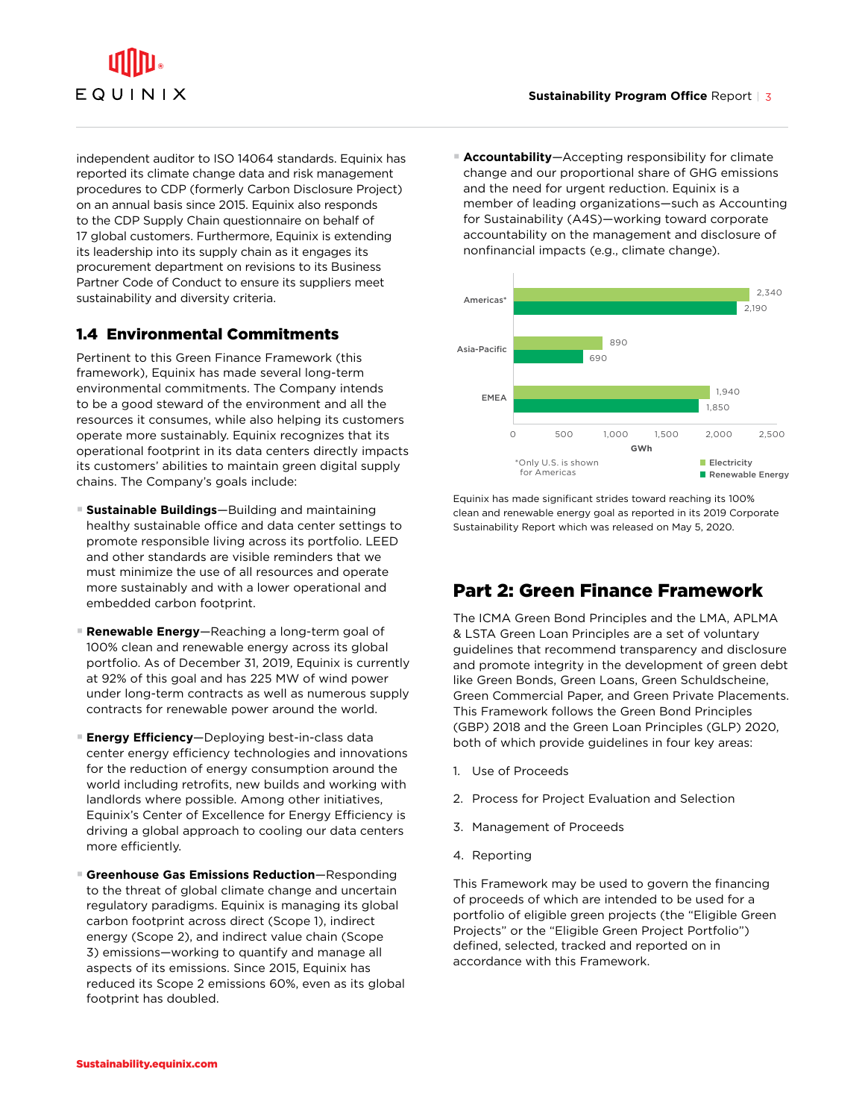# EQUINIX

independent auditor to ISO 14064 standards. Equinix has reported its climate change data and risk management procedures to CDP (formerly Carbon Disclosure Project) on an annual basis since 2015. Equinix also responds to the CDP Supply Chain questionnaire on behalf of 17 global customers. Furthermore, Equinix is extending its leadership into its supply chain as it engages its procurement department on revisions to its Business Partner Code of Conduct to ensure its suppliers meet sustainability and diversity criteria.

#### 1.4 Environmental Commitments

Pertinent to this Green Finance Framework (this framework), Equinix has made several long-term environmental commitments. The Company intends to be a good steward of the environment and all the resources it consumes, while also helping its customers operate more sustainably. Equinix recognizes that its operational footprint in its data centers directly impacts its customers' abilities to maintain green digital supply chains. The Company's goals include:

- § **Sustainable Buildings**—Building and maintaining healthy sustainable office and data center settings to promote responsible living across its portfolio. LEED and other standards are visible reminders that we must minimize the use of all resources and operate more sustainably and with a lower operational and embedded carbon footprint.
- § **Renewable Energy**—Reaching a long-term goal of 100% clean and renewable energy across its global portfolio. As of December 31, 2019, Equinix is currently at 92% of this goal and has 225 MW of wind power under long-term contracts as well as numerous supply contracts for renewable power around the world.
- § **Energy Efficiency**—Deploying best-in-class data center energy efficiency technologies and innovations for the reduction of energy consumption around the world including retrofits, new builds and working with landlords where possible. Among other initiatives, Equinix's Center of Excellence for Energy Efficiency is driving a global approach to cooling our data centers more efficiently.
- Greenhouse Gas Emissions Reduction–Responding to the threat of global climate change and uncertain regulatory paradigms. Equinix is managing its global carbon footprint across direct (Scope 1), indirect energy (Scope 2), and indirect value chain (Scope 3) emissions—working to quantify and manage all aspects of its emissions. Since 2015, Equinix has reduced its Scope 2 emissions 60%, even as its global footprint has doubled.

■ **Accountability**—Accepting responsibility for climate change and our proportional share of GHG emissions and the need for urgent reduction. Equinix is a member of leading organizations—such as Accounting for Sustainability (A4S)—working toward corporate accountability on the management and disclosure of nonfinancial impacts (e.g., climate change).



Equinix has made significant strides toward reaching its 100% clean and renewable energy goal as reported in its 2019 Corporate Sustainability Report which was released on May 5, 2020.

#### Part 2: Green Finance Framework

The ICMA Green Bond Principles and the LMA, APLMA & LSTA Green Loan Principles are a set of voluntary guidelines that recommend transparency and disclosure and promote integrity in the development of green debt like Green Bonds, Green Loans, Green Schuldscheine, Green Commercial Paper, and Green Private Placements. This Framework follows the Green Bond Principles (GBP) 2018 and the Green Loan Principles (GLP) 2020, both of which provide guidelines in four key areas:

- 1. Use of Proceeds
- 2. Process for Project Evaluation and Selection
- 3. Management of Proceeds
- 4. Reporting

This Framework may be used to govern the financing of proceeds of which are intended to be used for a portfolio of eligible green projects (the "Eligible Green Projects" or the "Eligible Green Project Portfolio") defined, selected, tracked and reported on in accordance with this Framework.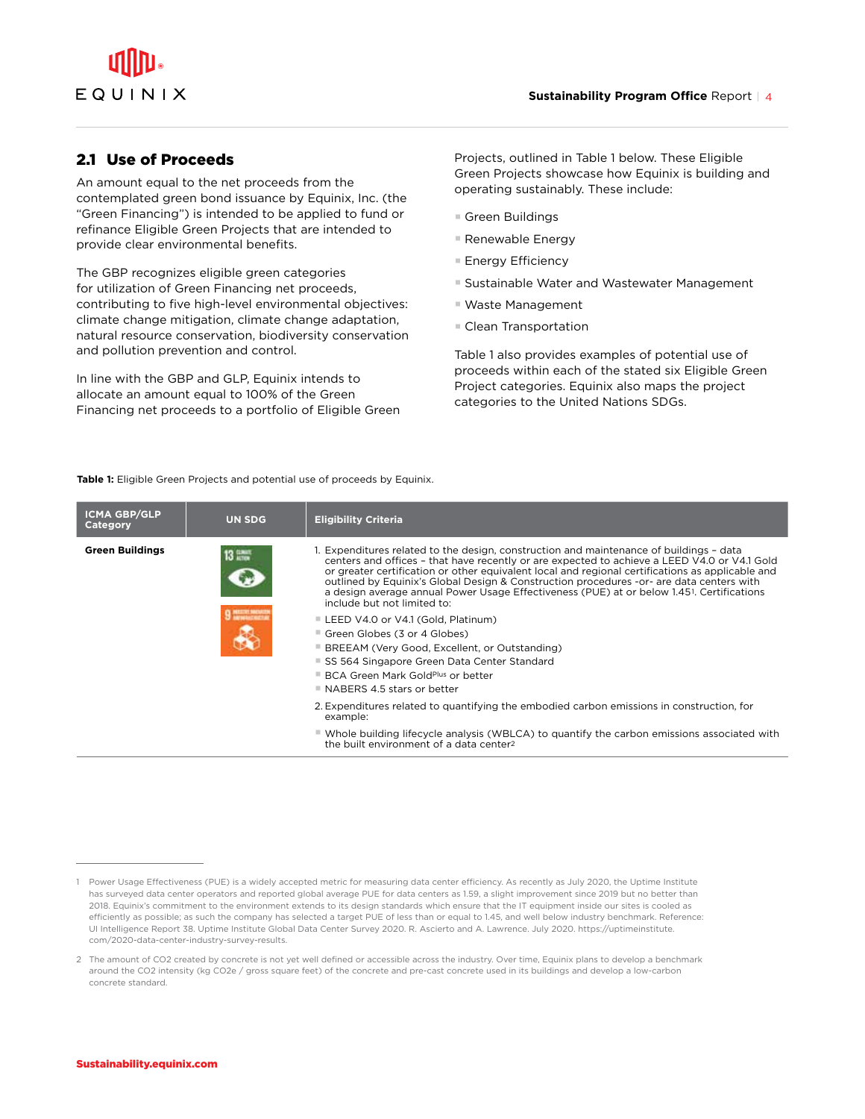#### 2.1 Use of Proceeds

An amount equal to the net proceeds from the contemplated green bond issuance by Equinix, Inc. (the "Green Financing") is intended to be applied to fund or refinance Eligible Green Projects that are intended to provide clear environmental benefits.

The GBP recognizes eligible green categories for utilization of Green Financing net proceeds, contributing to five high-level environmental objectives: climate change mitigation, climate change adaptation, natural resource conservation, biodiversity conservation and pollution prevention and control.

In line with the GBP and GLP, Equinix intends to allocate an amount equal to 100% of the Green Financing net proceeds to a portfolio of Eligible Green Projects, outlined in Table 1 below. These Eligible Green Projects showcase how Equinix is building and operating sustainably. These include:

- Green Buildings
- § Renewable Energy
- Energy Efficiency
- Sustainable Water and Wastewater Management
- § Waste Management
- § Clean Transportation

Table 1 also provides examples of potential use of proceeds within each of the stated six Eligible Green Project categories. Equinix also maps the project categories to the United Nations SDGs.

Table 1: Eligible Green Projects and potential use of proceeds by Equinix.

| <b>ICMA GBP/GLP</b><br><b>Category</b> | <b>UN SDG</b> | <b>Eligibility Criteria</b>                                                                                                                                                                                                                                                                                                                                                                                                                                                                                                      |
|----------------------------------------|---------------|----------------------------------------------------------------------------------------------------------------------------------------------------------------------------------------------------------------------------------------------------------------------------------------------------------------------------------------------------------------------------------------------------------------------------------------------------------------------------------------------------------------------------------|
| <b>Green Buildings</b>                 | $13 \pm 7$    | 1. Expenditures related to the design, construction and maintenance of buildings - data<br>centers and offices - that have recently or are expected to achieve a LEED V4.0 or V4.1 Gold<br>or greater certification or other equivalent local and regional certifications as applicable and<br>outlined by Equinix's Global Design & Construction procedures -or- are data centers with<br>a design average annual Power Usage Effectiveness (PUE) at or below 1.45 <sup>1</sup> . Certifications<br>include but not limited to: |
|                                        |               | ■ LEED V4.0 or V4.1 (Gold, Platinum)<br>■ Green Globes (3 or 4 Globes)<br>■ BREEAM (Very Good, Excellent, or Outstanding)<br>■ SS 564 Singapore Green Data Center Standard<br>■ BCA Green Mark Gold <sup>plus</sup> or better<br>NABERS 4.5 stars or better                                                                                                                                                                                                                                                                      |
|                                        |               | 2. Expenditures related to quantifying the embodied carbon emissions in construction, for<br>example:                                                                                                                                                                                                                                                                                                                                                                                                                            |
|                                        |               | $\blacksquare$ Whole building lifecycle analysis (WBLCA) to quantify the carbon emissions associated with<br>the built environment of a data center?                                                                                                                                                                                                                                                                                                                                                                             |

<sup>1</sup> Power Usage Effectiveness (PUE) is a widely accepted metric for measuring data center efficiency. As recently as July 2020, the Uptime Institute has surveyed data center operators and reported global average PUE for data centers as 1.59, a slight improvement since 2019 but no better than 2018. Equinix's commitment to the environment extends to its design standards which ensure that the IT equipment inside our sites is cooled as efficiently as possible; as such the company has selected a target PUE of less than or equal to 1.45, and well below industry benchmark. Reference: UI Intelligence Report 38. Uptime Institute Global Data Center Survey 2020. R. Ascierto and A. Lawrence. July 2020. https://uptimeinstitute. com/2020-data-center-industry-survey-results.

<sup>2</sup> The amount of CO2 created by concrete is not yet well defined or accessible across the industry. Over time, Equinix plans to develop a benchmark around the CO2 intensity (kg CO2e / gross square feet) of the concrete and pre-cast concrete used in its buildings and develop a low-carbon concrete standard.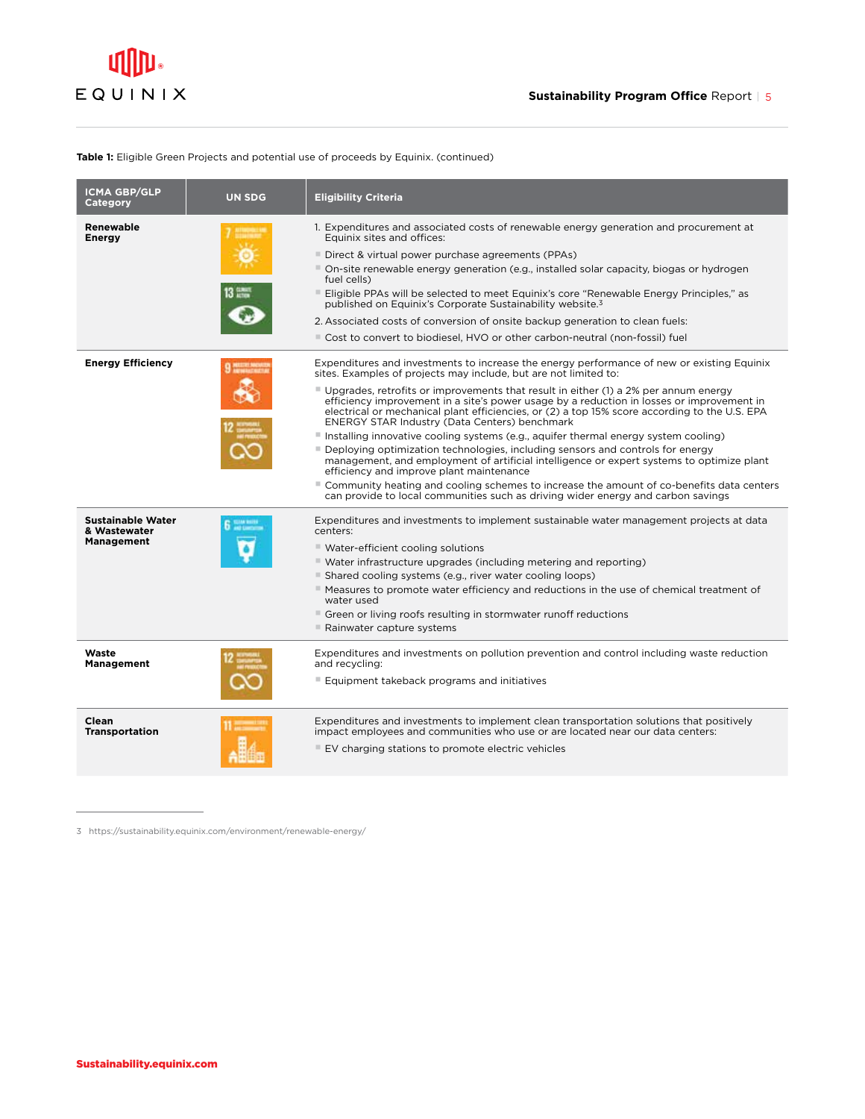#### **Table 1:** Eligible Green Projects and potential use of proceeds by Equinix. (continued)

| <b>ICMA GBP/GLP</b><br><b>Category</b>                        | <b>UN SDG</b> | <b>Eligibility Criteria</b>                                                                                                                                                                                                                                                                                                                                                                                                                                                                                                                                                                                                                                                                                                                                                                                                                                                                                |
|---------------------------------------------------------------|---------------|------------------------------------------------------------------------------------------------------------------------------------------------------------------------------------------------------------------------------------------------------------------------------------------------------------------------------------------------------------------------------------------------------------------------------------------------------------------------------------------------------------------------------------------------------------------------------------------------------------------------------------------------------------------------------------------------------------------------------------------------------------------------------------------------------------------------------------------------------------------------------------------------------------|
| Renewable<br><b>Energy</b>                                    |               | 1. Expenditures and associated costs of renewable energy generation and procurement at<br>Equinix sites and offices:<br>■ Direct & virtual power purchase agreements (PPAs)<br>On-site renewable energy generation (e.g., installed solar capacity, biogas or hydrogen<br>fuel cells)<br>Eligible PPAs will be selected to meet Equinix's core "Renewable Energy Principles," as<br>published on Equinix's Corporate Sustainability website. <sup>3</sup><br>2. Associated costs of conversion of onsite backup generation to clean fuels:                                                                                                                                                                                                                                                                                                                                                                 |
| <b>Energy Efficiency</b>                                      |               | Cost to convert to biodiesel, HVO or other carbon-neutral (non-fossil) fuel<br>Expenditures and investments to increase the energy performance of new or existing Equinix                                                                                                                                                                                                                                                                                                                                                                                                                                                                                                                                                                                                                                                                                                                                  |
|                                                               |               | sites. Examples of projects may include, but are not limited to:<br>■ Upgrades, retrofits or improvements that result in either (1) a 2% per annum energy<br>efficiency improvement in a site's power usage by a reduction in losses or improvement in<br>electrical or mechanical plant efficiencies, or (2) a top 15% score according to the U.S. EPA<br>ENERGY STAR Industry (Data Centers) benchmark<br>Installing innovative cooling systems (e.g., aquifer thermal energy system cooling)<br>Deploying optimization technologies, including sensors and controls for energy<br>management, and employment of artificial intelligence or expert systems to optimize plant<br>efficiency and improve plant maintenance<br>Community heating and cooling schemes to increase the amount of co-benefits data centers<br>can provide to local communities such as driving wider energy and carbon savings |
| <b>Sustainable Water</b><br>& Wastewater<br><b>Management</b> |               | Expenditures and investments to implement sustainable water management projects at data<br>centers:<br>■ Water-efficient cooling solutions<br>■ Water infrastructure upgrades (including metering and reporting)<br>■ Shared cooling systems (e.g., river water cooling loops)<br>■ Measures to promote water efficiency and reductions in the use of chemical treatment of<br>water used<br>■ Green or living roofs resulting in stormwater runoff reductions<br>■ Rainwater capture systems                                                                                                                                                                                                                                                                                                                                                                                                              |
| Waste<br><b>Management</b>                                    |               | Expenditures and investments on pollution prevention and control including waste reduction<br>and recycling:<br>■ Equipment takeback programs and initiatives                                                                                                                                                                                                                                                                                                                                                                                                                                                                                                                                                                                                                                                                                                                                              |
| Clean<br><b>Transportation</b>                                |               | Expenditures and investments to implement clean transportation solutions that positively<br>impact employees and communities who use or are located near our data centers:<br>■ EV charging stations to promote electric vehicles                                                                                                                                                                                                                                                                                                                                                                                                                                                                                                                                                                                                                                                                          |

3 https://sustainability.equinix.com/environment/renewable-energy/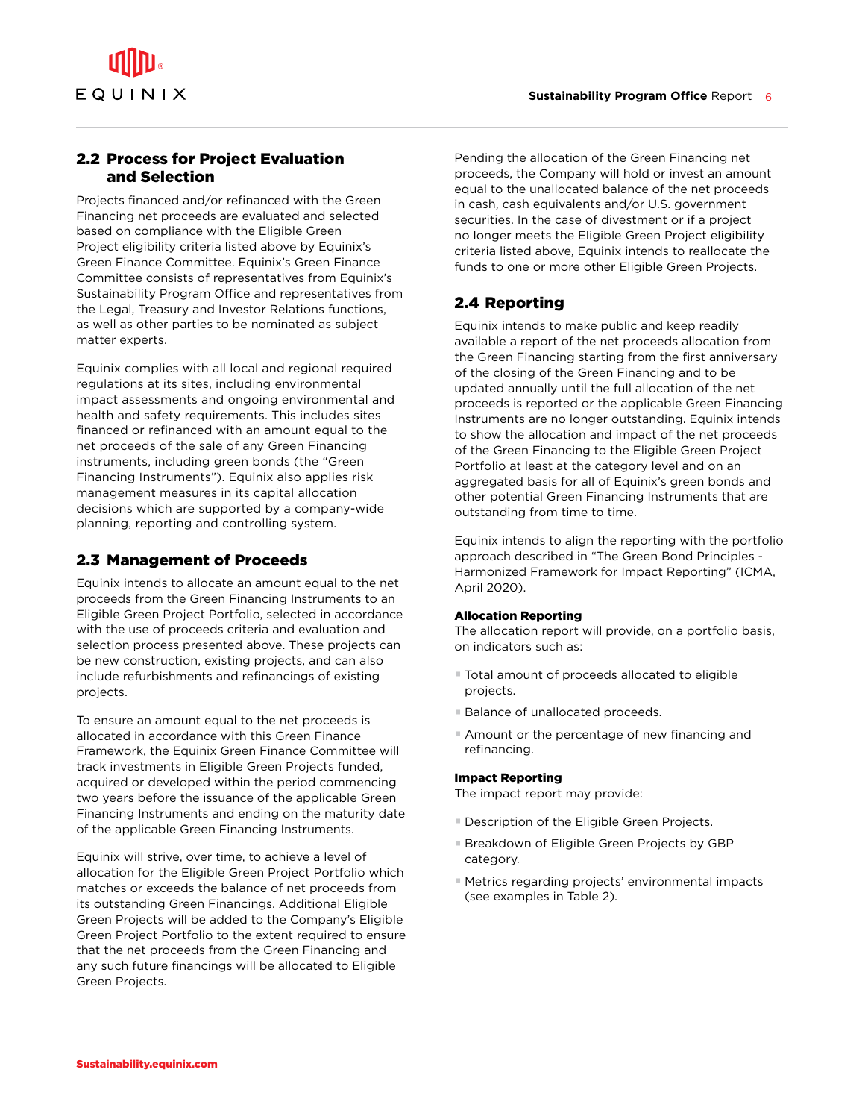#### 2.2 Process for Project Evaluation and Selection

Projects financed and/or refinanced with the Green Financing net proceeds are evaluated and selected based on compliance with the Eligible Green Project eligibility criteria listed above by Equinix's Green Finance Committee. Equinix's Green Finance Committee consists of representatives from Equinix's Sustainability Program Office and representatives from the Legal, Treasury and Investor Relations functions, as well as other parties to be nominated as subject matter experts.

Equinix complies with all local and regional required regulations at its sites, including environmental impact assessments and ongoing environmental and health and safety requirements. This includes sites financed or refinanced with an amount equal to the net proceeds of the sale of any Green Financing instruments, including green bonds (the "Green Financing Instruments"). Equinix also applies risk management measures in its capital allocation decisions which are supported by a company-wide planning, reporting and controlling system.

#### 2.3 Management of Proceeds

Equinix intends to allocate an amount equal to the net proceeds from the Green Financing Instruments to an Eligible Green Project Portfolio, selected in accordance with the use of proceeds criteria and evaluation and selection process presented above. These projects can be new construction, existing projects, and can also include refurbishments and refinancings of existing projects.

To ensure an amount equal to the net proceeds is allocated in accordance with this Green Finance Framework, the Equinix Green Finance Committee will track investments in Eligible Green Projects funded, acquired or developed within the period commencing two years before the issuance of the applicable Green Financing Instruments and ending on the maturity date of the applicable Green Financing Instruments.

Equinix will strive, over time, to achieve a level of allocation for the Eligible Green Project Portfolio which matches or exceeds the balance of net proceeds from its outstanding Green Financings. Additional Eligible Green Projects will be added to the Company's Eligible Green Project Portfolio to the extent required to ensure that the net proceeds from the Green Financing and any such future financings will be allocated to Eligible Green Projects.

Pending the allocation of the Green Financing net proceeds, the Company will hold or invest an amount equal to the unallocated balance of the net proceeds in cash, cash equivalents and/or U.S. government securities. In the case of divestment or if a project no longer meets the Eligible Green Project eligibility criteria listed above, Equinix intends to reallocate the funds to one or more other Eligible Green Projects.

#### 2.4 Reporting

Equinix intends to make public and keep readily available a report of the net proceeds allocation from the Green Financing starting from the first anniversary of the closing of the Green Financing and to be updated annually until the full allocation of the net proceeds is reported or the applicable Green Financing Instruments are no longer outstanding. Equinix intends to show the allocation and impact of the net proceeds of the Green Financing to the Eligible Green Project Portfolio at least at the category level and on an aggregated basis for all of Equinix's green bonds and other potential Green Financing Instruments that are outstanding from time to time.

Equinix intends to align the reporting with the portfolio approach described in "The Green Bond Principles - Harmonized Framework for Impact Reporting" (ICMA, April 2020).

#### Allocation Reporting

The allocation report will provide, on a portfolio basis, on indicators such as:

- Total amount of proceeds allocated to eligible projects.
- Balance of unallocated proceeds.
- Amount or the percentage of new financing and refinancing.

#### Impact Reporting

The impact report may provide:

- **Description of the Eligible Green Projects.**
- Breakdown of Eligible Green Projects by GBP category.
- Metrics regarding projects' environmental impacts (see examples in Table 2).